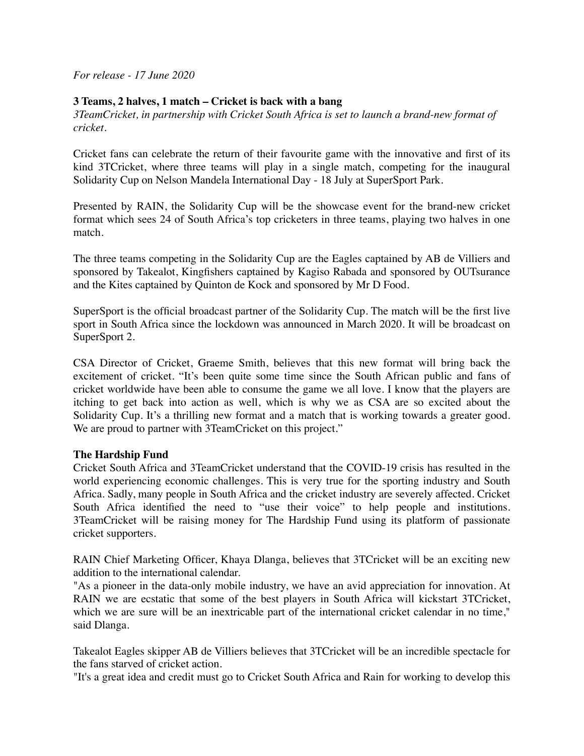*For release - 17 June 2020*

## **3 Teams, 2 halves, 1 match – Cricket is back with a bang**

*3TeamCricket, in partnership with Cricket South Africa is set to launch a brand-new format of cricket.* 

Cricket fans can celebrate the return of their favourite game with the innovative and first of its kind 3TCricket, where three teams will play in a single match, competing for the inaugural Solidarity Cup on Nelson Mandela International Day - 18 July at SuperSport Park.

Presented by RAIN, the Solidarity Cup will be the showcase event for the brand-new cricket format which sees 24 of South Africa's top cricketers in three teams, playing two halves in one match.

The three teams competing in the Solidarity Cup are the Eagles captained by AB de Villiers and sponsored by Takealot, Kingfishers captained by Kagiso Rabada and sponsored by OUTsurance and the Kites captained by Quinton de Kock and sponsored by Mr D Food.

SuperSport is the official broadcast partner of the Solidarity Cup. The match will be the first live sport in South Africa since the lockdown was announced in March 2020. It will be broadcast on SuperSport 2.

CSA Director of Cricket, Graeme Smith, believes that this new format will bring back the excitement of cricket. "It's been quite some time since the South African public and fans of cricket worldwide have been able to consume the game we all love. I know that the players are itching to get back into action as well, which is why we as CSA are so excited about the Solidarity Cup. It's a thrilling new format and a match that is working towards a greater good. We are proud to partner with 3TeamCricket on this project."

## **The Hardship Fund**

Cricket South Africa and 3TeamCricket understand that the COVID-19 crisis has resulted in the world experiencing economic challenges. This is very true for the sporting industry and South Africa. Sadly, many people in South Africa and the cricket industry are severely affected. Cricket South Africa identified the need to "use their voice" to help people and institutions. 3TeamCricket will be raising money for The Hardship Fund using its platform of passionate cricket supporters.

RAIN Chief Marketing Officer, Khaya Dlanga, believes that 3TCricket will be an exciting new addition to the international calendar.

"As a pioneer in the data-only mobile industry, we have an avid appreciation for innovation. At RAIN we are ecstatic that some of the best players in South Africa will kickstart 3TCricket, which we are sure will be an inextricable part of the international cricket calendar in no time," said Dlanga.

Takealot Eagles skipper AB de Villiers believes that 3TCricket will be an incredible spectacle for the fans starved of cricket action.

"It's a great idea and credit must go to Cricket South Africa and Rain for working to develop this